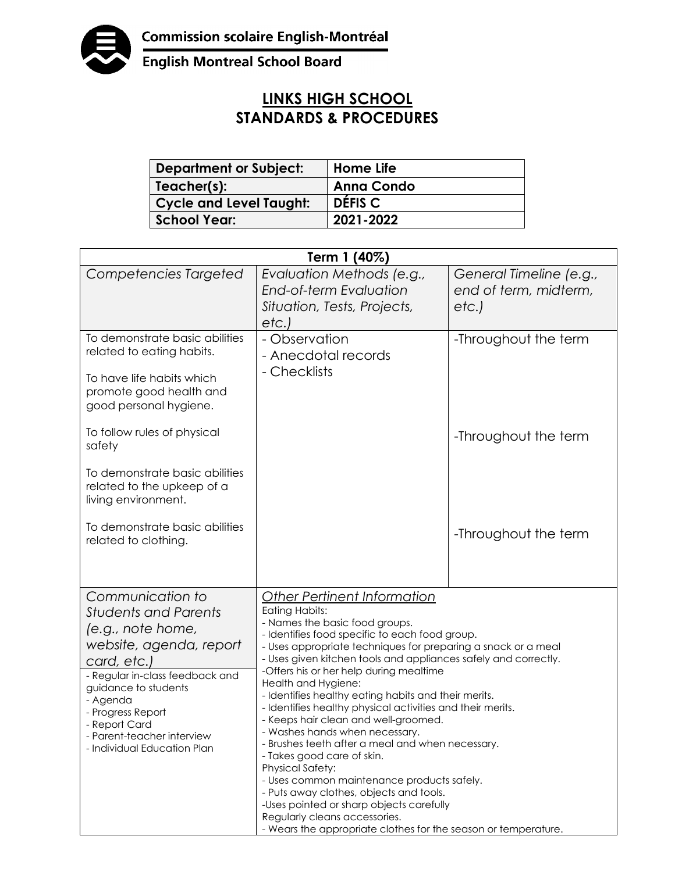

**English Montreal School Board** 

## **LINKS HIGH SCHOOL STANDARDS & PROCEDURES**

| <b>Department or Subject:</b>  | Home Life          |
|--------------------------------|--------------------|
| Teacher(s):                    | <b>Anna Condo</b>  |
| <b>Cycle and Level Taught:</b> | DÉFIS <sub>C</sub> |
| <b>School Year:</b>            | 2021-2022          |

| Term 1 (40%)                                                                                                                                                                                                                                                                             |                                                                                                                                                                                                                                                                                                                                                                                                                                                                                                                                                                                                                                                                                                                                                                                                                                                                                                            |                                                           |  |  |
|------------------------------------------------------------------------------------------------------------------------------------------------------------------------------------------------------------------------------------------------------------------------------------------|------------------------------------------------------------------------------------------------------------------------------------------------------------------------------------------------------------------------------------------------------------------------------------------------------------------------------------------------------------------------------------------------------------------------------------------------------------------------------------------------------------------------------------------------------------------------------------------------------------------------------------------------------------------------------------------------------------------------------------------------------------------------------------------------------------------------------------------------------------------------------------------------------------|-----------------------------------------------------------|--|--|
| Competencies Targeted                                                                                                                                                                                                                                                                    | Evaluation Methods (e.g.,<br><b>End-of-term Evaluation</b><br>Situation, Tests, Projects,<br>etc.)                                                                                                                                                                                                                                                                                                                                                                                                                                                                                                                                                                                                                                                                                                                                                                                                         | General Timeline (e.g.,<br>end of term, midterm,<br>etc.) |  |  |
| To demonstrate basic abilities<br>related to eating habits.<br>To have life habits which<br>promote good health and<br>good personal hygiene.                                                                                                                                            | - Observation<br>- Anecdotal records<br>- Checklists                                                                                                                                                                                                                                                                                                                                                                                                                                                                                                                                                                                                                                                                                                                                                                                                                                                       | -Throughout the term                                      |  |  |
| To follow rules of physical<br>safety<br>To demonstrate basic abilities<br>related to the upkeep of a<br>living environment.                                                                                                                                                             |                                                                                                                                                                                                                                                                                                                                                                                                                                                                                                                                                                                                                                                                                                                                                                                                                                                                                                            | -Throughout the term                                      |  |  |
| To demonstrate basic abilities<br>related to clothing.                                                                                                                                                                                                                                   |                                                                                                                                                                                                                                                                                                                                                                                                                                                                                                                                                                                                                                                                                                                                                                                                                                                                                                            | -Throughout the term                                      |  |  |
| Communication to<br><b>Students and Parents</b><br>(e.g., note home,<br>website, agenda, report<br>card, etc.,<br>- Regular in-class feedback and<br>guidance to students<br>- Agenda<br>- Progress Report<br>- Report Card<br>- Parent-teacher interview<br>- Individual Education Plan | <b>Other Pertinent Information</b><br><b>Eating Habits:</b><br>- Names the basic food groups.<br>- Identifies food specific to each food group.<br>- Uses appropriate techniques for preparing a snack or a meal<br>- Uses given kitchen tools and appliances safely and correctly.<br>-Offers his or her help during mealtime<br>Health and Hygiene:<br>- Identifies healthy eating habits and their merits.<br>- Identifies healthy physical activities and their merits.<br>- Keeps hair clean and well-groomed.<br>- Washes hands when necessary.<br>- Brushes teeth after a meal and when necessary.<br>- Takes good care of skin.<br><b>Physical Safety:</b><br>- Uses common maintenance products safely.<br>- Puts away clothes, objects and tools.<br>-Uses pointed or sharp objects carefully<br>Regularly cleans accessories.<br>- Wears the appropriate clothes for the season or temperature. |                                                           |  |  |